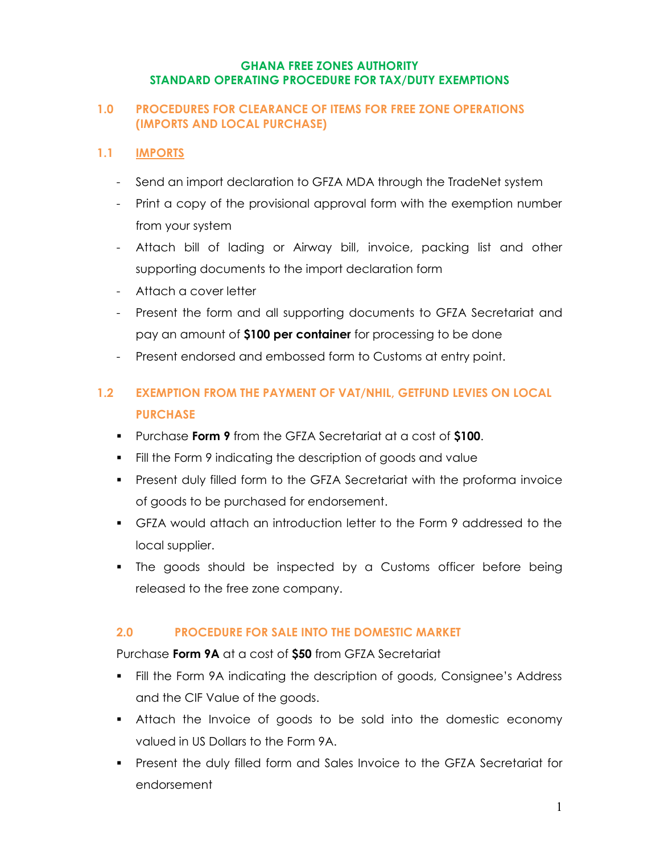#### **GHANA FREE ZONES AUTHORITY STANDARD OPERATING PROCEDURE FOR TAX/DUTY EXEMPTIONS**

#### **1.0 PROCEDURES FOR CLEARANCE OF ITEMS FOR FREE ZONE OPERATIONS (IMPORTS AND LOCAL PURCHASE)**

## **1.1 IMPORTS**

- Send an import declaration to GFZA MDA through the TradeNet system
- Print a copy of the provisional approval form with the exemption number from your system
- Attach bill of lading or Airway bill, invoice, packing list and other supporting documents to the import declaration form
- Attach a cover letter
- Present the form and all supporting documents to GFZA Secretariat and pay an amount of **\$100 per container** for processing to be done
- Present endorsed and embossed form to Customs at entry point.

# **1.2 EXEMPTION FROM THE PAYMENT OF VAT/NHIL, GETFUND LEVIES ON LOCAL PURCHASE**

- Purchase **Form 9** from the GFZA Secretariat at a cost of **\$100**.
- Fill the Form 9 indicating the description of goods and value
- Present duly filled form to the GFZA Secretariat with the proforma invoice of goods to be purchased for endorsement.
- GFZA would attach an introduction letter to the Form 9 addressed to the local supplier.
- The goods should be inspected by a Customs officer before being released to the free zone company.

# **2.0 PROCEDURE FOR SALE INTO THE DOMESTIC MARKET**

Purchase **Form 9A** at a cost of **\$50** from GFZA Secretariat

- Fill the Form 9A indicating the description of goods, Consignee's Address and the CIF Value of the goods.
- Attach the Invoice of goods to be sold into the domestic economy valued in US Dollars to the Form 9A.
- Present the duly filled form and Sales Invoice to the GFZA Secretariat for endorsement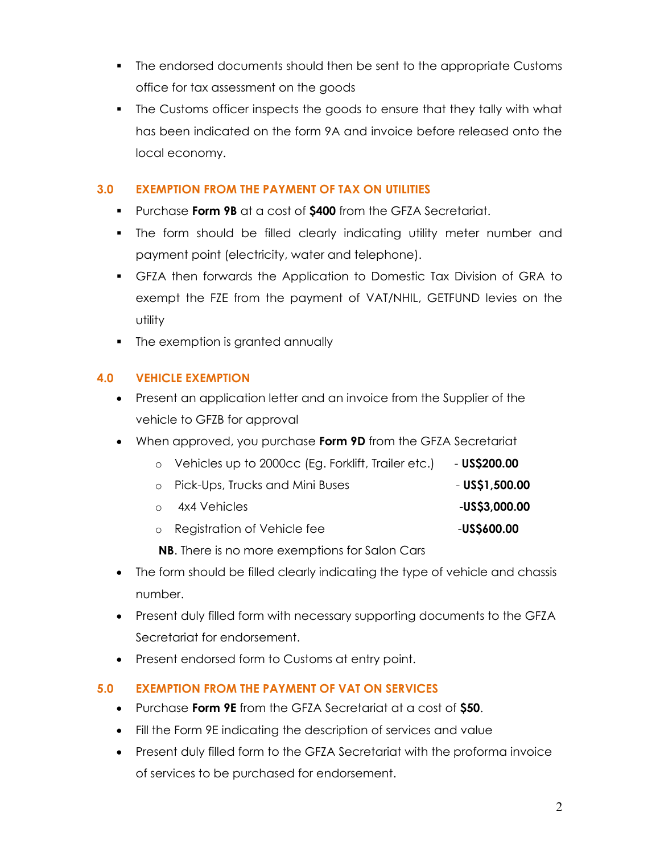- The endorsed documents should then be sent to the appropriate Customs office for tax assessment on the goods
- The Customs officer inspects the goods to ensure that they tally with what has been indicated on the form 9A and invoice before released onto the local economy.

# **3.0 EXEMPTION FROM THE PAYMENT OF TAX ON UTILITIES**

- Purchase **Form 9B** at a cost of **\$400** from the GFZA Secretariat.
- The form should be filled clearly indicating utility meter number and payment point (electricity, water and telephone).
- GFZA then forwards the Application to Domestic Tax Division of GRA to exempt the FZE from the payment of VAT/NHIL, GETFUND levies on the utility
- The exemption is granted annually

# **4.0 VEHICLE EXEMPTION**

- Present an application letter and an invoice from the Supplier of the vehicle to GFZB for approval
- When approved, you purchase **Form 9D** from the GFZA Secretariat

|  | Vehicles up to 2000cc (Eg. Forklift, Trailer etc.) | $-$ US\$200.00 |
|--|----------------------------------------------------|----------------|
|--|----------------------------------------------------|----------------|

- o Pick-Ups, Trucks and Mini Buses  **US\$1,500.00**
- o 4x4 Vehicles -**US\$3,000.00**
- o Registration of Vehicle fee-**US\$600.00**

**NB**. There is no more exemptions for Salon Cars

- The form should be filled clearly indicating the type of vehicle and chassis number.
- Present duly filled form with necessary supporting documents to the GFZA Secretariat for endorsement.
- Present endorsed form to Customs at entry point.

# **5.0 EXEMPTION FROM THE PAYMENT OF VAT ON SERVICES**

- Purchase **Form 9E** from the GFZA Secretariat at a cost of **\$50**.
- Fill the Form 9E indicating the description of services and value
- Present duly filled form to the GFZA Secretariat with the proforma invoice of services to be purchased for endorsement.